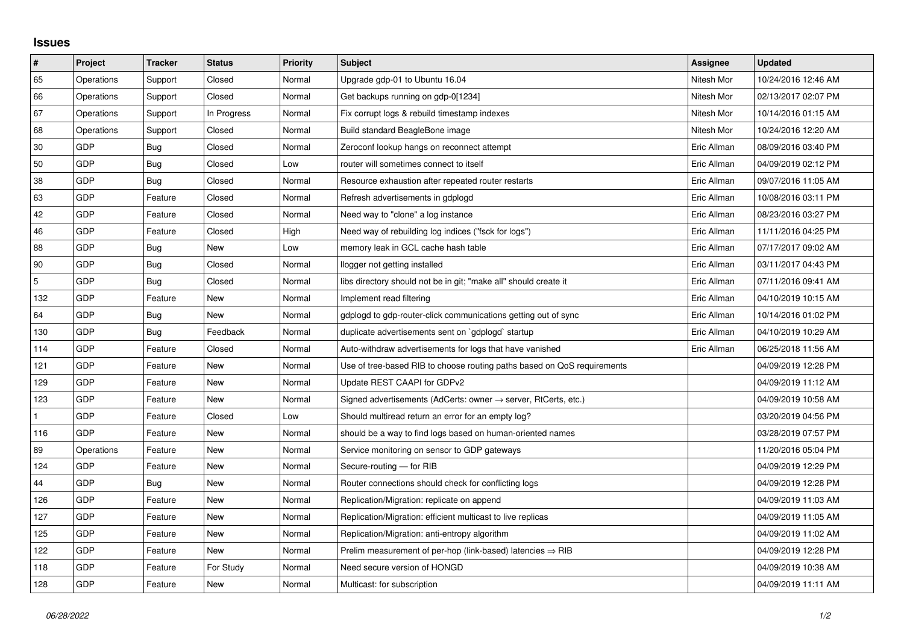## **Issues**

| $\pmb{\sharp}$ | Project    | <b>Tracker</b> | <b>Status</b> | <b>Priority</b> | <b>Subject</b>                                                             | Assignee    | <b>Updated</b>      |
|----------------|------------|----------------|---------------|-----------------|----------------------------------------------------------------------------|-------------|---------------------|
| 65             | Operations | Support        | Closed        | Normal          | Upgrade gdp-01 to Ubuntu 16.04                                             | Nitesh Mor  | 10/24/2016 12:46 AM |
| 66             | Operations | Support        | Closed        | Normal          | Get backups running on gdp-0[1234]                                         | Nitesh Mor  | 02/13/2017 02:07 PM |
| 67             | Operations | Support        | In Progress   | Normal          | Fix corrupt logs & rebuild timestamp indexes                               | Nitesh Mor  | 10/14/2016 01:15 AM |
| 68             | Operations | Support        | Closed        | Normal          | Build standard BeagleBone image                                            | Nitesh Mor  | 10/24/2016 12:20 AM |
| $30\,$         | GDP        | Bug            | Closed        | Normal          | Zeroconf lookup hangs on reconnect attempt                                 | Eric Allman | 08/09/2016 03:40 PM |
| 50             | <b>GDP</b> | Bug            | Closed        | Low             | router will sometimes connect to itself                                    | Eric Allman | 04/09/2019 02:12 PM |
| 38             | GDP        | Bug            | Closed        | Normal          | Resource exhaustion after repeated router restarts                         | Eric Allman | 09/07/2016 11:05 AM |
| 63             | <b>GDP</b> | Feature        | Closed        | Normal          | Refresh advertisements in gdplogd                                          | Eric Allman | 10/08/2016 03:11 PM |
| 42             | GDP        | Feature        | Closed        | Normal          | Need way to "clone" a log instance                                         | Eric Allman | 08/23/2016 03:27 PM |
| 46             | <b>GDP</b> | Feature        | Closed        | High            | Need way of rebuilding log indices ("fsck for logs")                       | Eric Allman | 11/11/2016 04:25 PM |
| 88             | <b>GDP</b> | Bug            | New           | Low             | memory leak in GCL cache hash table                                        | Eric Allman | 07/17/2017 09:02 AM |
| 90             | <b>GDP</b> | Bug            | Closed        | Normal          | llogger not getting installed                                              | Eric Allman | 03/11/2017 04:43 PM |
| $\mathbf 5$    | GDP        | Bug            | Closed        | Normal          | libs directory should not be in git; "make all" should create it           | Eric Allman | 07/11/2016 09:41 AM |
| 132            | GDP        | Feature        | New           | Normal          | Implement read filtering                                                   | Eric Allman | 04/10/2019 10:15 AM |
| 64             | <b>GDP</b> | Bug            | <b>New</b>    | Normal          | gdplogd to gdp-router-click communications getting out of sync             | Eric Allman | 10/14/2016 01:02 PM |
| 130            | <b>GDP</b> | Bug            | Feedback      | Normal          | duplicate advertisements sent on `gdplogd` startup                         | Eric Allman | 04/10/2019 10:29 AM |
| 114            | <b>GDP</b> | Feature        | Closed        | Normal          | Auto-withdraw advertisements for logs that have vanished                   | Eric Allman | 06/25/2018 11:56 AM |
| 121            | <b>GDP</b> | Feature        | New           | Normal          | Use of tree-based RIB to choose routing paths based on QoS requirements    |             | 04/09/2019 12:28 PM |
| 129            | <b>GDP</b> | Feature        | <b>New</b>    | Normal          | Update REST CAAPI for GDPv2                                                |             | 04/09/2019 11:12 AM |
| 123            | GDP        | Feature        | New           | Normal          | Signed advertisements (AdCerts: owner $\rightarrow$ server, RtCerts, etc.) |             | 04/09/2019 10:58 AM |
| 1              | <b>GDP</b> | Feature        | Closed        | Low             | Should multiread return an error for an empty log?                         |             | 03/20/2019 04:56 PM |
| 116            | <b>GDP</b> | Feature        | <b>New</b>    | Normal          | should be a way to find logs based on human-oriented names                 |             | 03/28/2019 07:57 PM |
| 89             | Operations | Feature        | New           | Normal          | Service monitoring on sensor to GDP gateways                               |             | 11/20/2016 05:04 PM |
| 124            | <b>GDP</b> | Feature        | New           | Normal          | Secure-routing - for RIB                                                   |             | 04/09/2019 12:29 PM |
| 44             | <b>GDP</b> | Bug            | <b>New</b>    | Normal          | Router connections should check for conflicting logs                       |             | 04/09/2019 12:28 PM |
| 126            | GDP        | Feature        | New           | Normal          | Replication/Migration: replicate on append                                 |             | 04/09/2019 11:03 AM |
| 127            | <b>GDP</b> | Feature        | New           | Normal          | Replication/Migration: efficient multicast to live replicas                |             | 04/09/2019 11:05 AM |
| 125            | GDP        | Feature        | <b>New</b>    | Normal          | Replication/Migration: anti-entropy algorithm                              |             | 04/09/2019 11:02 AM |
| 122            | GDP        | Feature        | New           | Normal          | Prelim measurement of per-hop (link-based) latencies $\Rightarrow$ RIB     |             | 04/09/2019 12:28 PM |
| 118            | GDP        | Feature        | For Study     | Normal          | Need secure version of HONGD                                               |             | 04/09/2019 10:38 AM |
| 128            | GDP        | Feature        | <b>New</b>    | Normal          | Multicast: for subscription                                                |             | 04/09/2019 11:11 AM |